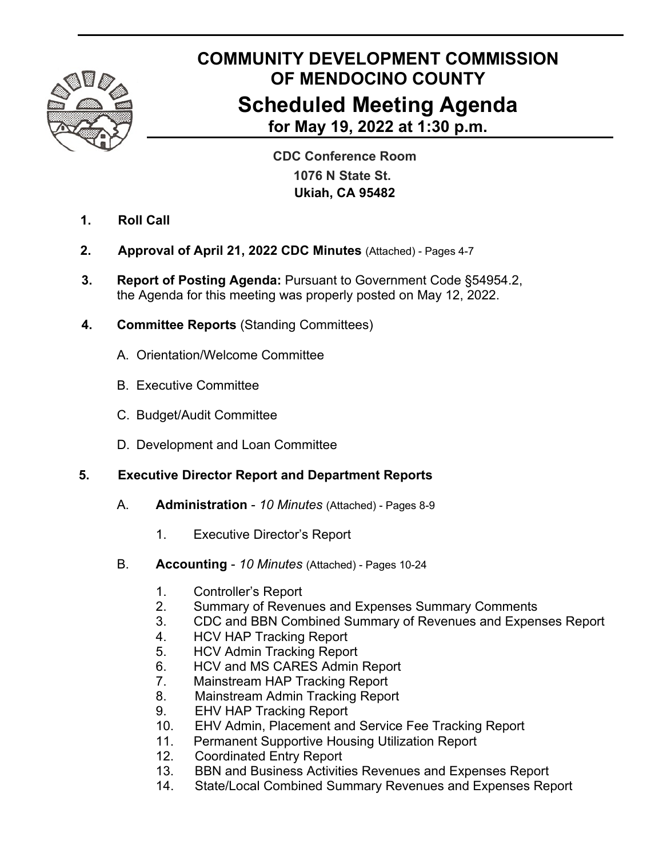

# **COMMUNITY DEVELOPMENT COMMISSION OF MENDOCINO COUNTY Scheduled Meeting Agenda for May 19, 2022 at 1:30 p.m.**

 **CDC Conference Room 1076 N State St. Ukiah, CA 95482**

- **1. Roll Call**
- **2. Approval of April 21, 2022 CDC Minutes** (Attached) Pages 4-7
- **3. Report of Posting Agenda:** Pursuant to Government Code §54954.2, the Agenda for this meeting was properly posted on May 12, 2022.
- **4. Committee Reports** (Standing Committees)
	- A. Orientation/Welcome Committee
	- B. Executive Committee
	- C. Budget/Audit Committee
	- D. Development and Loan Committee

# **5. Executive Director Report and Department Reports**

- A. **Administration**  *10 Minutes* (Attached) Pages 8-9
	- 1. Executive Director's Report
- B. **Accounting**  *10 Minutes* (Attached) Pages 10-24
	- 1. Controller's Report
	- 2. Summary of Revenues and Expenses Summary Comments
	- 3. CDC and BBN Combined Summary of Revenues and Expenses Report
	- 4. HCV HAP Tracking Report
	- 5. HCV Admin Tracking Report
	- 6. HCV and MS CARES Admin Report
	- 7. Mainstream HAP Tracking Report
	- 8. Mainstream Admin Tracking Report
	- 9. EHV HAP Tracking Report
	- 10. EHV Admin, Placement and Service Fee Tracking Report
	- 11. Permanent Supportive Housing Utilization Report
	- 12. Coordinated Entry Report
	- 13. BBN and Business Activities Revenues and Expenses Report
	- 14. State/Local Combined Summary Revenues and Expenses Report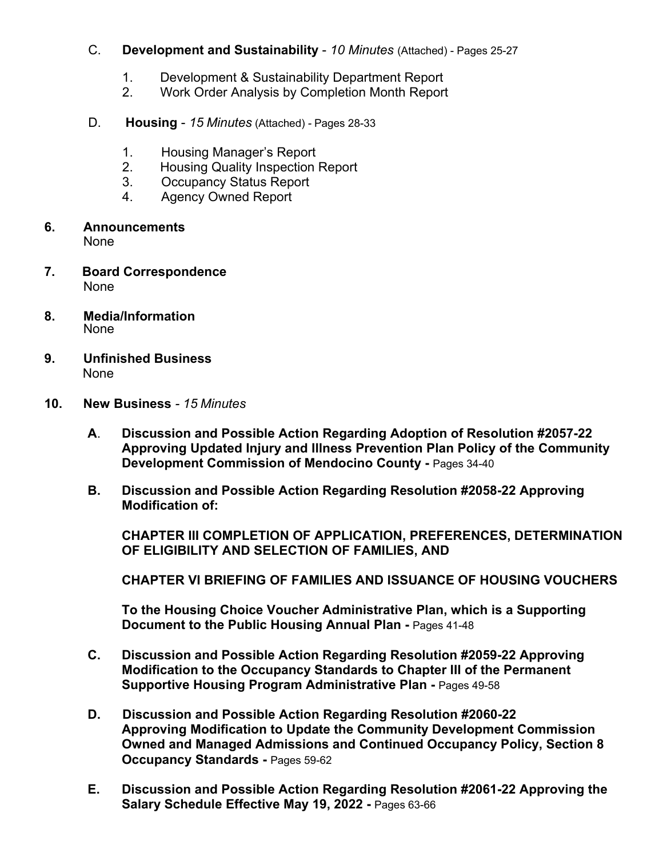#### C. **Development and Sustainability** - *10 Minutes* (Attached) - Pages 25-27

- 1. Development & Sustainability Department Report
- 2. Work Order Analysis by Completion Month Report
- D. **Housing**  *15 Minutes* (Attached) Pages 28-33
	- 1. Housing Manager's Report
	- 2. Housing Quality Inspection Report
	- 3. Occupancy Status Report
	- 4. Agency Owned Report
- **6. Announcements** None
- **7. Board Correspondence** None
- **8. Media/Information** None
- **9. Unfinished Business**  None
- **10. New Business**  *15 Minutes*
	- **A**. **Discussion and Possible Action Regarding Adoption of Resolution #2057-22 Approving Updated Injury and Illness Prevention Plan Policy of the Community Development Commission of Mendocino County - Pages 34-40**
	- **B. Discussion and Possible Action Regarding Resolution #2058-22 Approving Modification of:**

 **CHAPTER III COMPLETION OF APPLICATION, PREFERENCES, DETERMINATION OF ELIGIBILITY AND SELECTION OF FAMILIES, AND** 

 **CHAPTER VI BRIEFING OF FAMILIES AND ISSUANCE OF HOUSING VOUCHERS** 

 **To the Housing Choice Voucher Administrative Plan, which is a Supporting Document to the Public Housing Annual Plan - Pages 41-48** 

- **C. Discussion and Possible Action Regarding Resolution #2059-22 Approving Modification to the Occupancy Standards to Chapter III of the Permanent Supportive Housing Program Administrative Plan - Pages 49-58**
- **D. Discussion and Possible Action Regarding Resolution #2060-22 Approving Modification to Update the Community Development Commission Owned and Managed Admissions and Continued Occupancy Policy, Section 8 Occupancy Standards - Pages 59-62**
- **E. Discussion and Possible Action Regarding Resolution #2061-22 Approving the**  Salary Schedule Effective May 19, 2022 - Pages 63-66